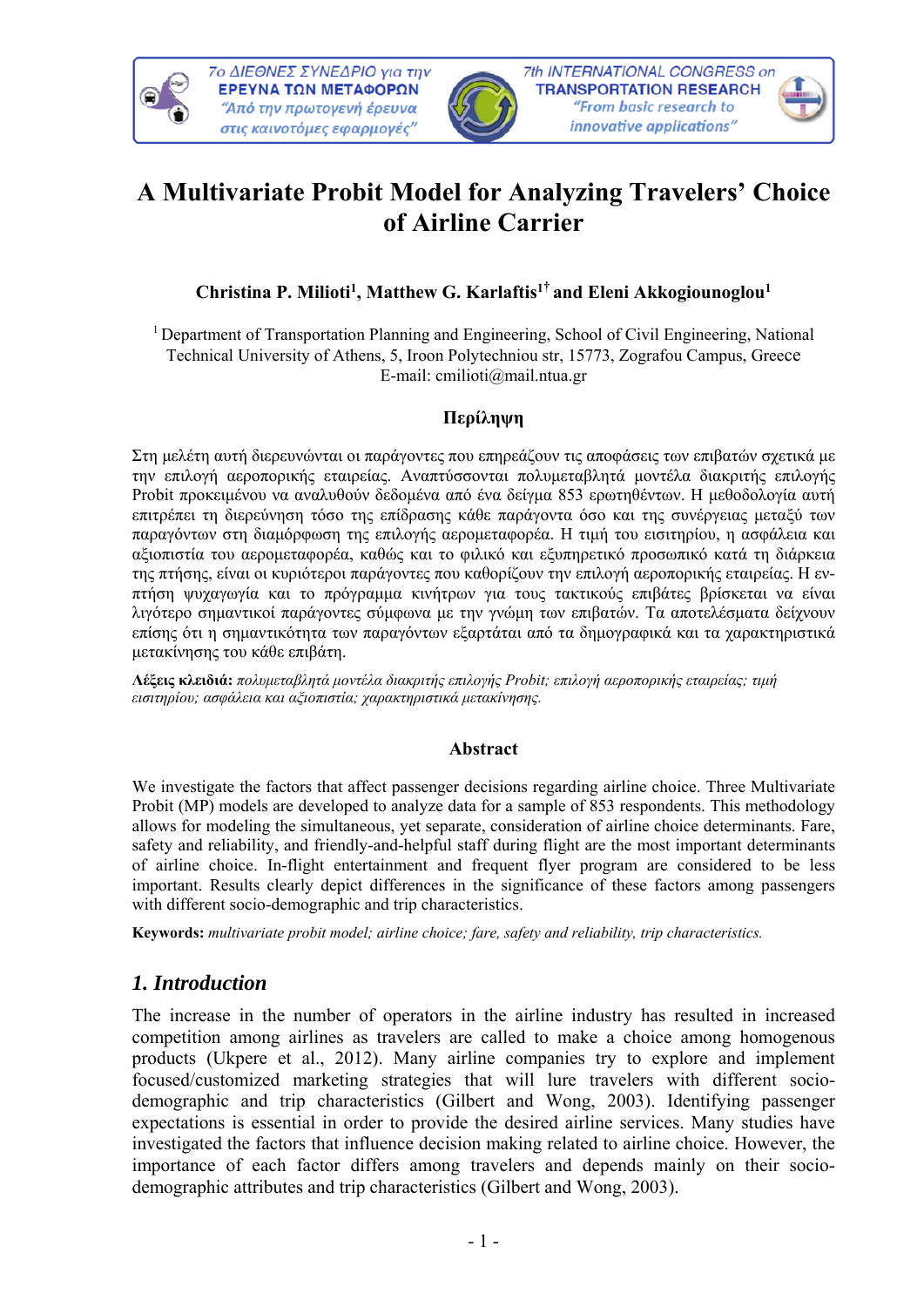



# **A Multivariate Probit Model for Analyzing Travelers' Choice of Airline Carrier**

### **Christina P. Milioti1, Matthew G. Karlaftis1† and Eleni Akkogiounoglou1**

1 Department of Transportation Planning and Engineering, School of Civil Engineering, National Technical University of Athens, 5, Iroon Polytechniou str, 15773, Zografou Campus, Greece E-mail: cmilioti@mail.ntua.gr

### **Περίληψη**

Στη μελέτη αυτή διερευνώνται οι παράγοντες που επηρεάζουν τις αποφάσεις των επιβατών σχετικά με την επιλογή αεροπορικής εταιρείας. Αναπτύσσονται πολυμεταβλητά μοντέλα διακριτής επιλογής Probit προκειμένου να αναλυθούν δεδομένα από ένα δείγμα 853 ερωτηθέντων. Η μεθοδολογία αυτή επιτρέπει τη διερεύνηση τόσο της επίδρασης κάθε παράγοντα όσο και της συνέργειας μεταξύ των παραγόντων στη διαμόρφωση της επιλογής αερομεταφορέα. Η τιμή του εισιτηρίου, η ασφάλεια και αξιοπιστία του αερομεταφορέα, καθώς και το φιλικό και εξυπηρετικό προσωπικό κατά τη διάρκεια της πτήσης, είναι οι κυριότεροι παράγοντες που καθορίζουν την επιλογή αεροπορικής εταιρείας. Η ενπτήση ψυχαγωγία και το πρόγραμμα κινήτρων για τους τακτικούς επιβάτες βρίσκεται να είναι λιγότερο σημαντικοί παράγοντες σύμφωνα με την γνώμη των επιβατών. Τα αποτελέσματα δείχνουν επίσης ότι η σημαντικότητα των παραγόντων εξαρτάται από τα δημογραφικά και τα χαρακτηριστικά μετακίνησης του κάθε επιβάτη.

**Λέξεις κλειδιά:** *πολυμεταβλητά μοντέλα διακριτής επιλογής Probit; επιλογή αεροπορικής εταιρείας; τιμή εισιτηρίου; ασφάλεια και αξιοπιστία; χαρακτηριστικά μετακίνησης.*

#### **Abstract**

We investigate the factors that affect passenger decisions regarding airline choice. Three Multivariate Probit (MP) models are developed to analyze data for a sample of 853 respondents. This methodology allows for modeling the simultaneous, yet separate, consideration of airline choice determinants. Fare, safety and reliability, and friendly-and-helpful staff during flight are the most important determinants of airline choice. In-flight entertainment and frequent flyer program are considered to be less important. Results clearly depict differences in the significance of these factors among passengers with different socio-demographic and trip characteristics.

**Keywords:** *multivariate probit model; airline choice; fare, safety and reliability, trip characteristics.*

# *1. Introduction*

The increase in the number of operators in the airline industry has resulted in increased competition among airlines as travelers are called to make a choice among homogenous products (Ukpere et al., 2012). Many airline companies try to explore and implement focused/customized marketing strategies that will lure travelers with different sociodemographic and trip characteristics (Gilbert and Wong, 2003). Identifying passenger expectations is essential in order to provide the desired airline services. Many studies have investigated the factors that influence decision making related to airline choice. However, the importance of each factor differs among travelers and depends mainly on their sociodemographic attributes and trip characteristics (Gilbert and Wong, 2003).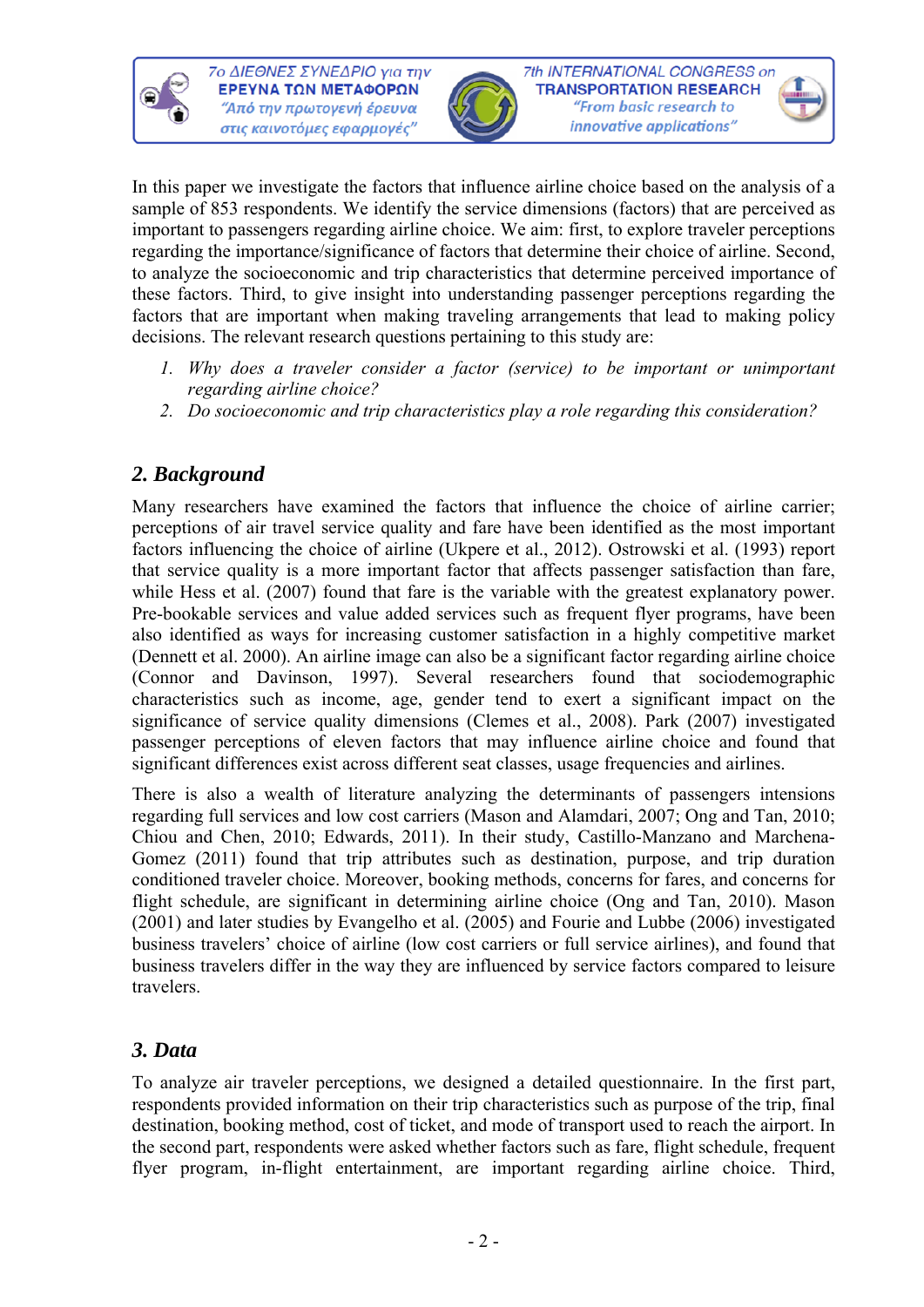



In this paper we investigate the factors that influence airline choice based on the analysis of a sample of 853 respondents. We identify the service dimensions (factors) that are perceived as important to passengers regarding airline choice. We aim: first, to explore traveler perceptions regarding the importance/significance of factors that determine their choice of airline. Second, to analyze the socioeconomic and trip characteristics that determine perceived importance of these factors. Third, to give insight into understanding passenger perceptions regarding the factors that are important when making traveling arrangements that lead to making policy decisions. The relevant research questions pertaining to this study are:

- *1. Why does a traveler consider a factor (service) to be important or unimportant regarding airline choice?*
- *2. Do socioeconomic and trip characteristics play a role regarding this consideration?*

# *2. Background*

Many researchers have examined the factors that influence the choice of airline carrier; perceptions of air travel service quality and fare have been identified as the most important factors influencing the choice of airline (Ukpere et al., 2012). Ostrowski et al. (1993) report that service quality is a more important factor that affects passenger satisfaction than fare, while Hess et al. (2007) found that fare is the variable with the greatest explanatory power. Pre-bookable services and value added services such as frequent flyer programs, have been also identified as ways for increasing customer satisfaction in a highly competitive market (Dennett et al. 2000). An airline image can also be a significant factor regarding airline choice (Connor and Davinson, 1997). Several researchers found that sociodemographic characteristics such as income, age, gender tend to exert a significant impact on the significance of service quality dimensions (Clemes et al., 2008). Park (2007) investigated passenger perceptions of eleven factors that may influence airline choice and found that significant differences exist across different seat classes, usage frequencies and airlines.

There is also a wealth of literature analyzing the determinants of passengers intensions regarding full services and low cost carriers (Mason and Alamdari, 2007; Ong and Tan, 2010; Chiou and Chen, 2010; Edwards, 2011). In their study, Castillo-Manzano and Marchena-Gomez (2011) found that trip attributes such as destination, purpose, and trip duration conditioned traveler choice. Moreover, booking methods, concerns for fares, and concerns for flight schedule, are significant in determining airline choice (Ong and Tan, 2010). Mason (2001) and later studies by Evangelho et al. (2005) and Fourie and Lubbe (2006) investigated business travelers' choice of airline (low cost carriers or full service airlines), and found that business travelers differ in the way they are influenced by service factors compared to leisure travelers.

# *3. Data*

To analyze air traveler perceptions, we designed a detailed questionnaire. In the first part, respondents provided information on their trip characteristics such as purpose of the trip, final destination, booking method, cost of ticket, and mode of transport used to reach the airport. In the second part, respondents were asked whether factors such as fare, flight schedule, frequent flyer program, in-flight entertainment, are important regarding airline choice. Third,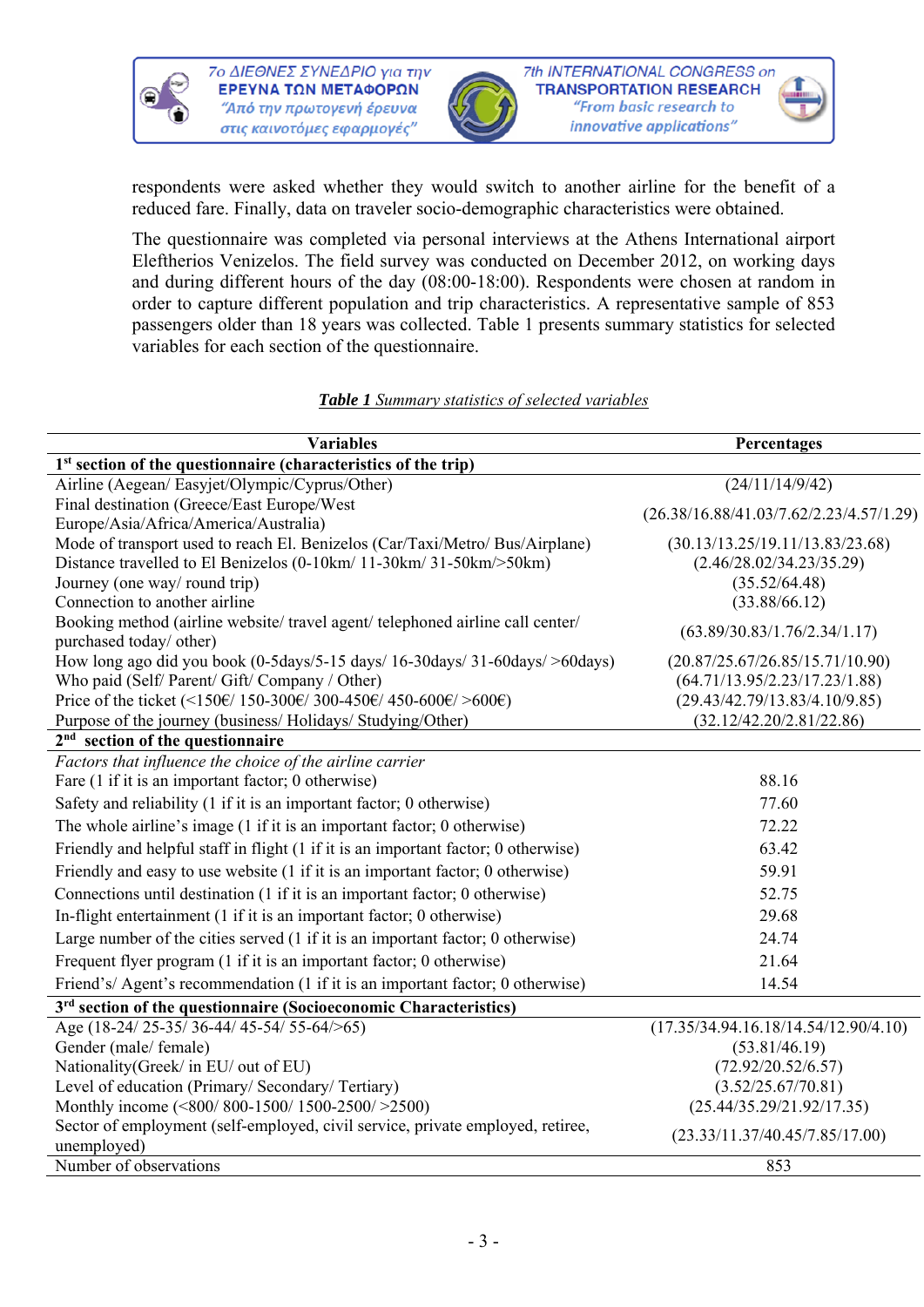



respondents were asked whether they would switch to another airline for the benefit of a reduced fare. Finally, data on traveler socio-demographic characteristics were obtained.

The questionnaire was completed via personal interviews at the Athens International airport Eleftherios Venizelos. The field survey was conducted on December 2012, on working days and during different hours of the day (08:00-18:00). Respondents were chosen at random in order to capture different population and trip characteristics. A representative sample of 853 passengers older than 18 years was collected. Table 1 presents summary statistics for selected variables for each section of the questionnaire.

| <b>Variables</b>                                                                                        | Percentages                               |  |  |
|---------------------------------------------------------------------------------------------------------|-------------------------------------------|--|--|
| 1 <sup>st</sup> section of the questionnaire (characteristics of the trip)                              |                                           |  |  |
| Airline (Aegean/ Easyjet/Olympic/Cyprus/Other)                                                          | $\sqrt{(24/11/14/9/42)}$                  |  |  |
| Final destination (Greece/East Europe/West                                                              | $(26.38/16.88/41.03/7.62/2.23/4.57/1.29)$ |  |  |
| Europe/Asia/Africa/America/Australia)                                                                   |                                           |  |  |
| Mode of transport used to reach El. Benizelos (Car/Taxi/Metro/ Bus/Airplane)                            | (30.13/13.25/19.11/13.83/23.68)           |  |  |
| Distance travelled to El Benizelos (0-10km/ 11-30km/ 31-50km/>50km)                                     | (2.46/28.02/34.23/35.29)                  |  |  |
| Journey (one way/round trip)                                                                            | (35.52/64.48)                             |  |  |
| Connection to another airline                                                                           | (33.88/66.12)                             |  |  |
| Booking method (airline website/travel agent/telephoned airline call center/<br>purchased today/ other) | (63.89/30.83/1.76/2.34/1.17)              |  |  |
| How long ago did you book (0-5days/5-15 days/ 16-30days/ 31-60days/ >60days)                            | (20.87/25.67/26.85/15.71/10.90)           |  |  |
| Who paid (Self/ Parent/ Gift/ Company / Other)                                                          | (64.71/13.95/2.23/17.23/1.88)             |  |  |
| Price of the ticket (<150€/ 150-300€/ 300-450€/ 450-600€/ >600€)                                        | (29.43/42.79/13.83/4.10/9.85)             |  |  |
| Purpose of the journey (business/Holidays/Studying/Other)                                               | (32.12/42.20/2.81/22.86)                  |  |  |
| $2nd$ section of the questionnaire                                                                      |                                           |  |  |
| Factors that influence the choice of the airline carrier                                                |                                           |  |  |
| Fare (1 if it is an important factor; 0 otherwise)                                                      | 88.16                                     |  |  |
| Safety and reliability (1 if it is an important factor; 0 otherwise)                                    | 77.60                                     |  |  |
| The whole airline's image (1 if it is an important factor; 0 otherwise)                                 | 72.22                                     |  |  |
| Friendly and helpful staff in flight (1 if it is an important factor; 0 otherwise)                      | 63.42                                     |  |  |
| Friendly and easy to use website (1 if it is an important factor; 0 otherwise)                          | 59.91                                     |  |  |
| Connections until destination (1 if it is an important factor; 0 otherwise)                             | 52.75                                     |  |  |
| In-flight entertainment (1 if it is an important factor; 0 otherwise)                                   | 29.68                                     |  |  |
| Large number of the cities served $(1$ if it is an important factor; 0 otherwise)                       | 24.74                                     |  |  |
| Frequent flyer program (1 if it is an important factor; 0 otherwise)                                    | 21.64                                     |  |  |
| Friend's/Agent's recommendation (1 if it is an important factor; 0 otherwise)                           | 14.54                                     |  |  |
| 3 <sup>rd</sup> section of the questionnaire (Socioeconomic Characteristics)                            |                                           |  |  |
| Age (18-24/25-35/36-44/45-54/55-64/>65)                                                                 | (17.35/34.94.16.18/14.54/12.90/4.10)      |  |  |
| Gender (male/ female)                                                                                   | (53.81/46.19)                             |  |  |
| Nationality (Greek/ in EU/ out of EU)                                                                   | (72.92/20.52/6.57)                        |  |  |
| Level of education (Primary/ Secondary/ Tertiary)                                                       | (3.52/25.67/70.81)                        |  |  |
| Monthly income (<800/800-1500/1500-2500/>2500)                                                          | (25.44/35.29/21.92/17.35)                 |  |  |
| Sector of employment (self-employed, civil service, private employed, retiree,<br>unemployed)           | (23.33/11.37/40.45/7.85/17.00)            |  |  |
| Number of observations                                                                                  | 853                                       |  |  |

#### *Table 1 Summary statistics of selected variables*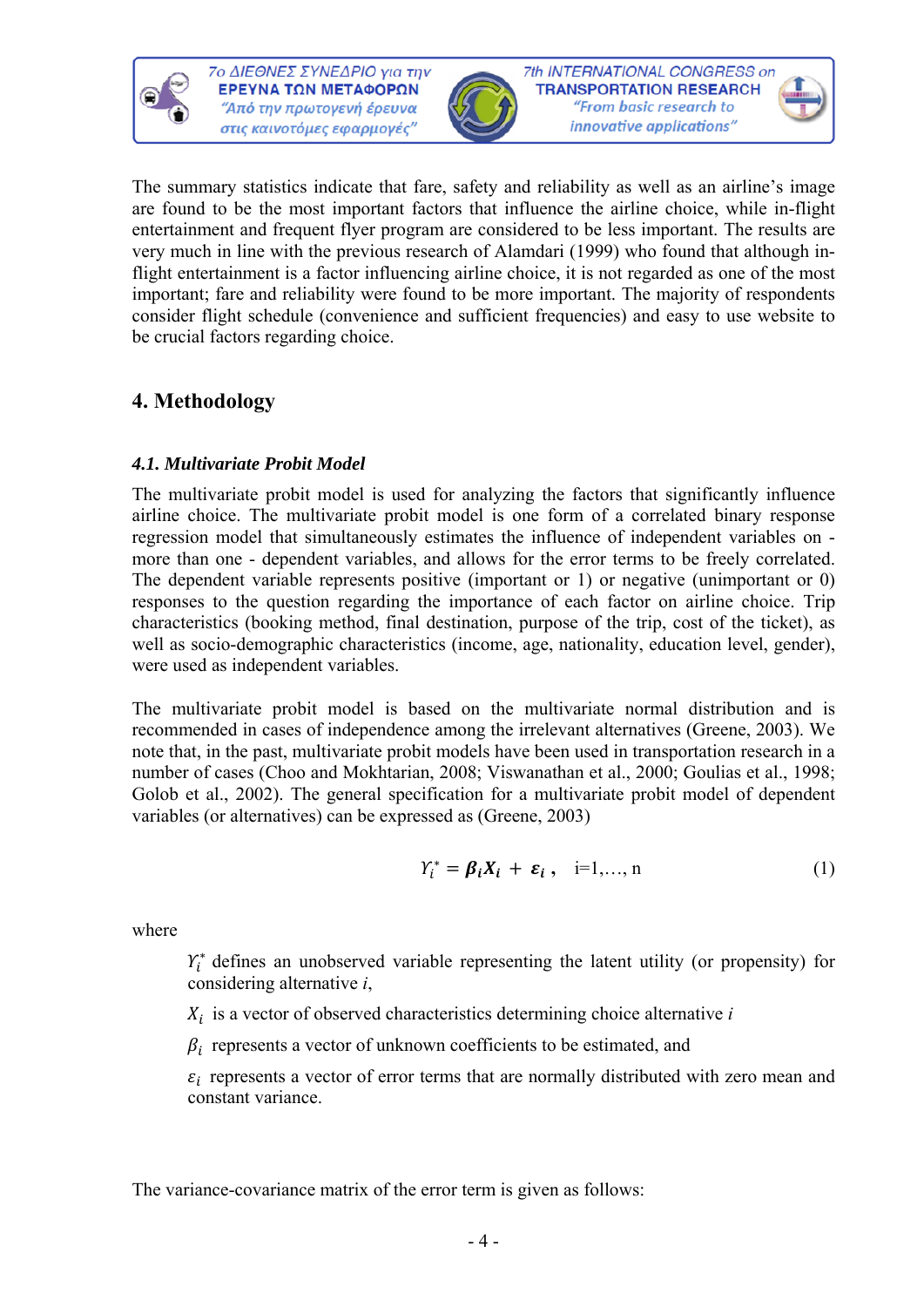



The summary statistics indicate that fare, safety and reliability as well as an airline's image are found to be the most important factors that influence the airline choice, while in-flight entertainment and frequent flyer program are considered to be less important. The results are very much in line with the previous research of Alamdari (1999) who found that although inflight entertainment is a factor influencing airline choice, it is not regarded as one of the most important; fare and reliability were found to be more important. The majority of respondents consider flight schedule (convenience and sufficient frequencies) and easy to use website to be crucial factors regarding choice.

# **4. Methodology**

### *4.1. Multivariate Probit Model*

The multivariate probit model is used for analyzing the factors that significantly influence airline choice. The multivariate probit model is one form of a correlated binary response regression model that simultaneously estimates the influence of independent variables on more than one - dependent variables, and allows for the error terms to be freely correlated. The dependent variable represents positive (important or 1) or negative (unimportant or 0) responses to the question regarding the importance of each factor on airline choice. Trip characteristics (booking method, final destination, purpose of the trip, cost of the ticket), as well as socio-demographic characteristics (income, age, nationality, education level, gender), were used as independent variables.

The multivariate probit model is based on the multivariate normal distribution and is recommended in cases of independence among the irrelevant alternatives (Greene, 2003). We note that, in the past, multivariate probit models have been used in transportation research in a number of cases (Choo and Mokhtarian, 2008; Viswanathan et al., 2000; Goulias et al., 1998; Golob et al., 2002). The general specification for a multivariate probit model of dependent variables (or alternatives) can be expressed as (Greene, 2003)

$$
Y_i^* = \beta_i X_i + \varepsilon_i, \quad i=1,\ldots,n
$$
 (1)

where

 $Y_i^*$  defines an unobserved variable representing the latent utility (or propensity) for considering alternative *i*,

 $X_i$  is a vector of observed characteristics determining choice alternative  $i$ 

 $\beta_i$  represents a vector of unknown coefficients to be estimated, and

 $\varepsilon_i$  represents a vector of error terms that are normally distributed with zero mean and constant variance.

The variance-covariance matrix of the error term is given as follows: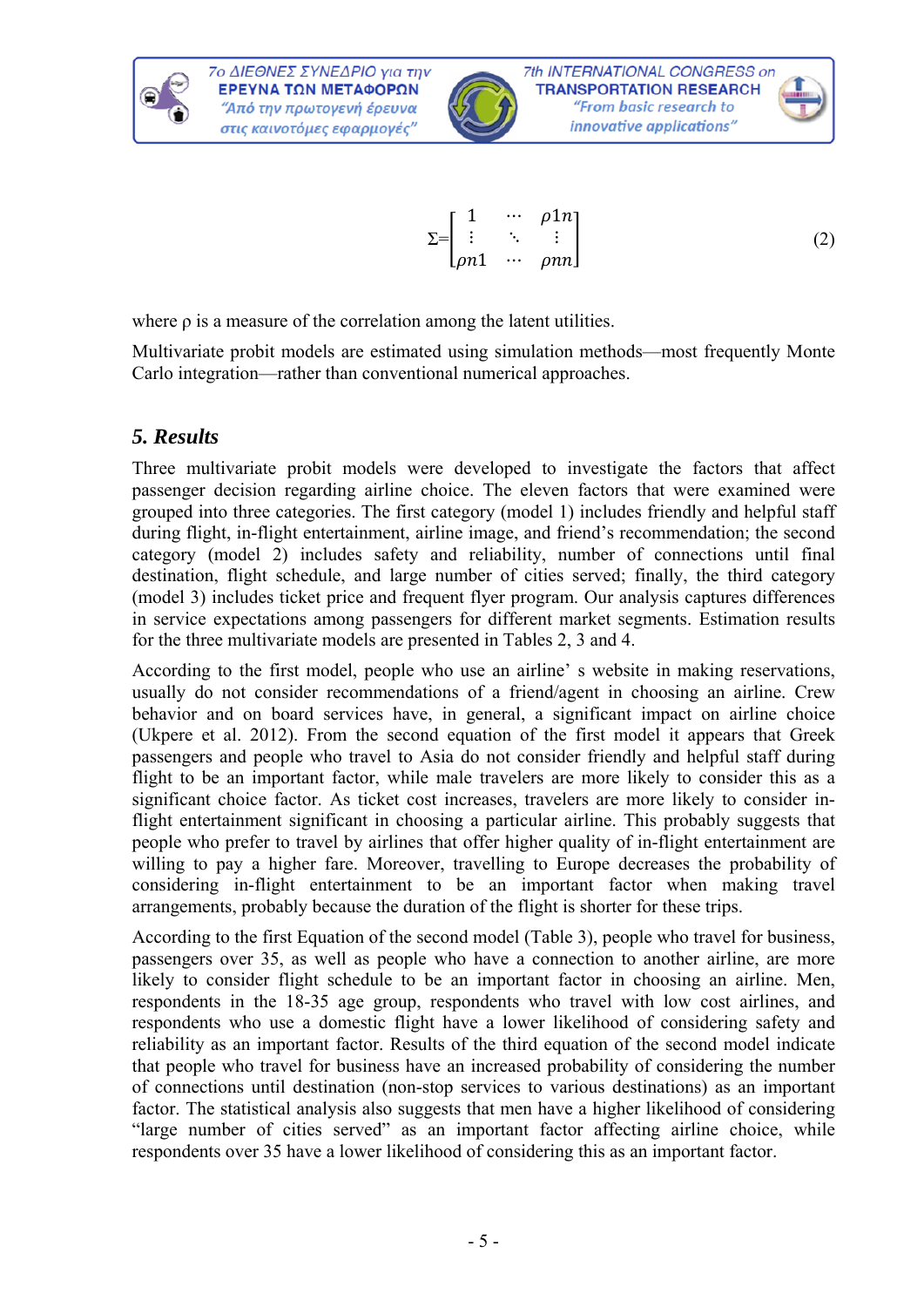



where ρ is a measure of the correlation among the latent utilities.

Multivariate probit models are estimated using simulation methods—most frequently Monte Carlo integration—rather than conventional numerical approaches.

### *5. Results*

Three multivariate probit models were developed to investigate the factors that affect passenger decision regarding airline choice. The eleven factors that were examined were grouped into three categories. The first category (model 1) includes friendly and helpful staff during flight, in-flight entertainment, airline image, and friend's recommendation; the second category (model 2) includes safety and reliability, number of connections until final destination, flight schedule, and large number of cities served; finally, the third category (model 3) includes ticket price and frequent flyer program. Our analysis captures differences in service expectations among passengers for different market segments. Estimation results for the three multivariate models are presented in Tables 2, 3 and 4.

According to the first model, people who use an airline' s website in making reservations, usually do not consider recommendations of a friend/agent in choosing an airline. Crew behavior and on board services have, in general, a significant impact on airline choice (Ukpere et al. 2012). From the second equation of the first model it appears that Greek passengers and people who travel to Asia do not consider friendly and helpful staff during flight to be an important factor, while male travelers are more likely to consider this as a significant choice factor. As ticket cost increases, travelers are more likely to consider inflight entertainment significant in choosing a particular airline. This probably suggests that people who prefer to travel by airlines that offer higher quality of in-flight entertainment are willing to pay a higher fare. Moreover, travelling to Europe decreases the probability of considering in-flight entertainment to be an important factor when making travel arrangements, probably because the duration of the flight is shorter for these trips.

According to the first Equation of the second model (Table 3), people who travel for business, passengers over 35, as well as people who have a connection to another airline, are more likely to consider flight schedule to be an important factor in choosing an airline. Men, respondents in the 18-35 age group, respondents who travel with low cost airlines, and respondents who use a domestic flight have a lower likelihood of considering safety and reliability as an important factor. Results of the third equation of the second model indicate that people who travel for business have an increased probability of considering the number of connections until destination (non-stop services to various destinations) as an important factor. The statistical analysis also suggests that men have a higher likelihood of considering "large number of cities served" as an important factor affecting airline choice, while respondents over 35 have a lower likelihood of considering this as an important factor.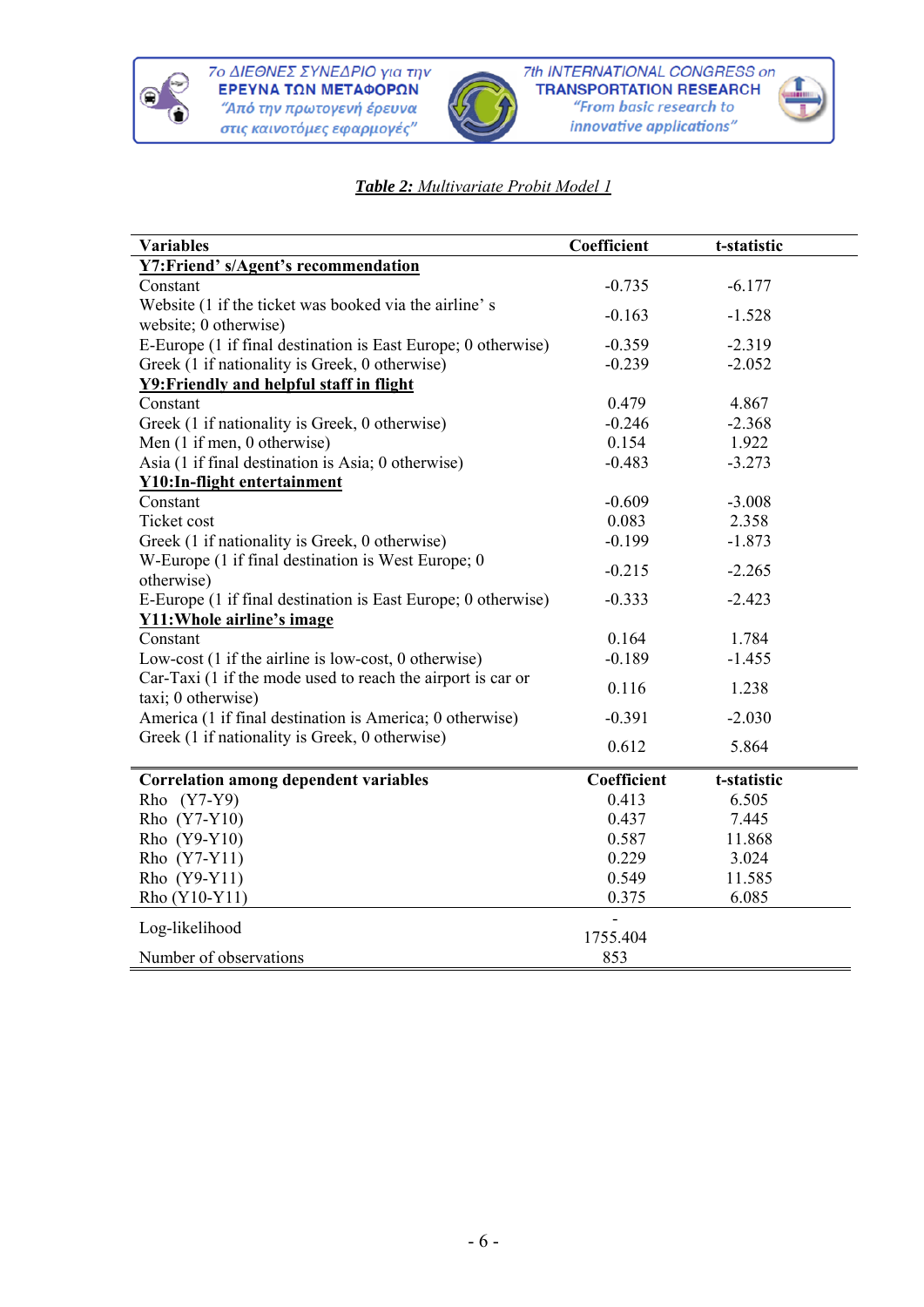



### *Table 2: Multivariate Probit Model 1*

| <b>Variables</b>                                                                       | Coefficient | t-statistic |  |
|----------------------------------------------------------------------------------------|-------------|-------------|--|
| <b>Y7:Friend' s/Agent's recommendation</b>                                             |             |             |  |
| Constant                                                                               | $-0.735$    | $-6.177$    |  |
| Website (1 if the ticket was booked via the airline's                                  | $-0.163$    | $-1.528$    |  |
| website; 0 otherwise)<br>E-Europe (1 if final destination is East Europe; 0 otherwise) | $-0.359$    | $-2.319$    |  |
| Greek (1 if nationality is Greek, 0 otherwise)                                         | $-0.239$    | $-2.052$    |  |
| Y9: Friendly and helpful staff in flight                                               |             |             |  |
| Constant                                                                               | 0.479       | 4.867       |  |
| Greek (1 if nationality is Greek, 0 otherwise)                                         | $-0.246$    | $-2.368$    |  |
| Men (1 if men, 0 otherwise)                                                            | 0.154       | 1.922       |  |
| Asia (1 if final destination is Asia; 0 otherwise)                                     | $-0.483$    | $-3.273$    |  |
| <b>Y10:In-flight entertainment</b>                                                     |             |             |  |
| Constant                                                                               | $-0.609$    | $-3.008$    |  |
| Ticket cost                                                                            | 0.083       | 2.358       |  |
| Greek (1 if nationality is Greek, 0 otherwise)                                         | $-0.199$    | $-1.873$    |  |
| W-Europe (1 if final destination is West Europe; 0<br>otherwise)                       | $-0.215$    | $-2.265$    |  |
| E-Europe (1 if final destination is East Europe; 0 otherwise)                          | $-0.333$    | $-2.423$    |  |
| <b>Y11: Whole airline's image</b>                                                      |             |             |  |
| Constant                                                                               | 0.164       | 1.784       |  |
| Low-cost (1 if the airline is low-cost, 0 otherwise)                                   | $-0.189$    | $-1.455$    |  |
| Car-Taxi (1 if the mode used to reach the airport is car or<br>taxi; 0 otherwise)      | 0.116       | 1.238       |  |
| America (1 if final destination is America; 0 otherwise)                               | $-0.391$    | $-2.030$    |  |
| Greek (1 if nationality is Greek, 0 otherwise)                                         | 0.612       | 5.864       |  |
| <b>Correlation among dependent variables</b>                                           | Coefficient | t-statistic |  |
| Rho (Y7-Y9)                                                                            | 0.413       | 6.505       |  |
| Rho (Y7-Y10)                                                                           | 0.437       | 7.445       |  |
| Rho (Y9-Y10)                                                                           | 0.587       | 11.868      |  |
| Rho (Y7-Y11)                                                                           | 0.229       | 3.024       |  |
| Rho (Y9-Y11)                                                                           | 0.549       | 11.585      |  |
| Rho (Y10-Y11)                                                                          | 0.375       | 6.085       |  |
| Log-likelihood                                                                         | 1755.404    |             |  |
| Number of observations                                                                 | 853         |             |  |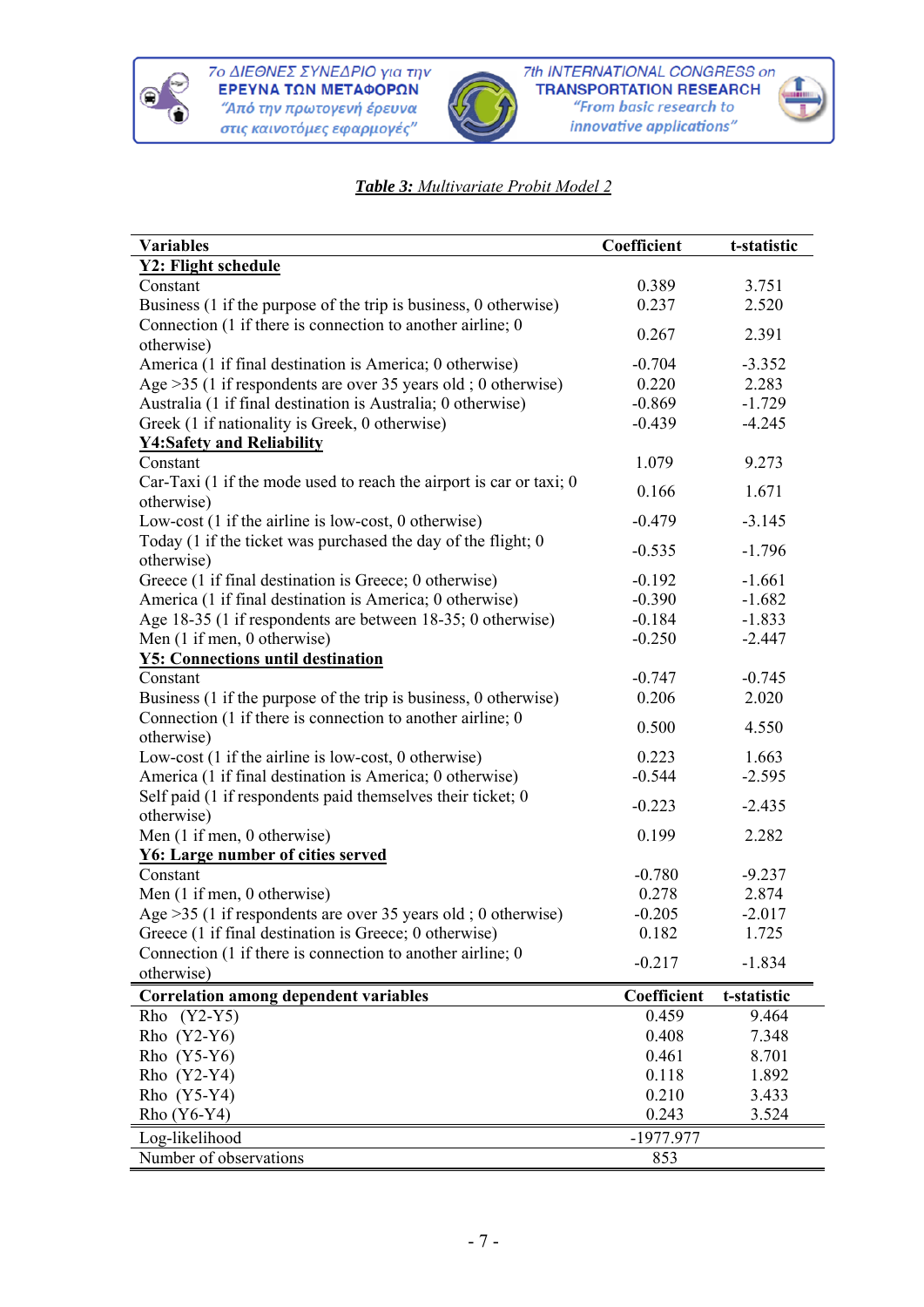



### *Table 3: Multivariate Probit Model 2*

| <b>Variables</b>                                                               | Coefficient | t-statistic |
|--------------------------------------------------------------------------------|-------------|-------------|
| Y2: Flight schedule                                                            |             |             |
| Constant                                                                       | 0.389       | 3.751       |
| Business (1 if the purpose of the trip is business, 0 otherwise)               | 0.237       | 2.520       |
| Connection (1 if there is connection to another airline; 0                     | 0.267       |             |
| otherwise)                                                                     |             | 2.391       |
| America (1 if final destination is America; 0 otherwise)                       | $-0.704$    | $-3.352$    |
| Age $>35$ (1 if respondents are over 35 years old; 0 otherwise)                | 0.220       | 2.283       |
| Australia (1 if final destination is Australia; 0 otherwise)                   | $-0.869$    | $-1.729$    |
| Greek (1 if nationality is Greek, 0 otherwise)                                 | $-0.439$    | $-4.245$    |
| <b>Y4:Safety and Reliability</b>                                               |             |             |
| Constant                                                                       | 1.079       | 9.273       |
| Car-Taxi $(1 \text{ if the mode used to reach the airport is car or taxi}; 0)$ |             |             |
| otherwise)                                                                     | 0.166       | 1.671       |
| Low-cost $(1$ if the airline is low-cost, 0 otherwise)                         | $-0.479$    | $-3.145$    |
| Today (1 if the ticket was purchased the day of the flight; 0                  |             |             |
| otherwise)                                                                     | $-0.535$    | $-1.796$    |
| Greece (1 if final destination is Greece; 0 otherwise)                         | $-0.192$    | $-1.661$    |
| America (1 if final destination is America; 0 otherwise)                       | $-0.390$    | $-1.682$    |
| Age 18-35 (1 if respondents are between 18-35; 0 otherwise)                    | $-0.184$    | $-1.833$    |
| Men (1 if men, 0 otherwise)                                                    | $-0.250$    | $-2.447$    |
| <b>Y5: Connections until destination</b>                                       |             |             |
| Constant                                                                       | $-0.747$    | $-0.745$    |
| Business (1 if the purpose of the trip is business, 0 otherwise)               | 0.206       | 2.020       |
| Connection (1 if there is connection to another airline; 0                     |             |             |
| otherwise)                                                                     | 0.500       | 4.550       |
| Low-cost (1 if the airline is low-cost, 0 otherwise)                           | 0.223       | 1.663       |
| America (1 if final destination is America; 0 otherwise)                       | $-0.544$    | $-2.595$    |
| Self paid (1 if respondents paid themselves their ticket; 0                    |             |             |
| otherwise)                                                                     | $-0.223$    | $-2.435$    |
| Men (1 if men, 0 otherwise)                                                    | 0.199       | 2.282       |
| <b>Y6: Large number of cities served</b>                                       |             |             |
| Constant                                                                       | $-0.780$    | $-9.237$    |
| Men (1 if men, 0 otherwise)                                                    | 0.278       | 2.874       |
| Age $>35$ (1 if respondents are over 35 years old; 0 otherwise)                | $-0.205$    | $-2.017$    |
| Greece (1 if final destination is Greece; 0 otherwise)                         | 0.182       | 1.725       |
| Connection (1 if there is connection to another airline; 0                     |             |             |
| otherwise)                                                                     | $-0.217$    | $-1.834$    |
| <b>Correlation among dependent variables</b>                                   | Coefficient | t-statistic |
| $(Y2-Y5)$<br>Rho                                                               | 0.459       | 9.464       |
| Rho (Y2-Y6)                                                                    | 0.408       | 7.348       |
| Rho (Y5-Y6)                                                                    | 0.461       | 8.701       |
| Rho (Y2-Y4)                                                                    | 0.118       | 1.892       |
| Rho (Y5-Y4)                                                                    | 0.210       | 3.433       |
| Rho (Y6-Y4)                                                                    | 0.243       | 3.524       |
|                                                                                |             |             |
| Log-likelihood                                                                 | -1977.977   |             |
| Number of observations                                                         | 853         |             |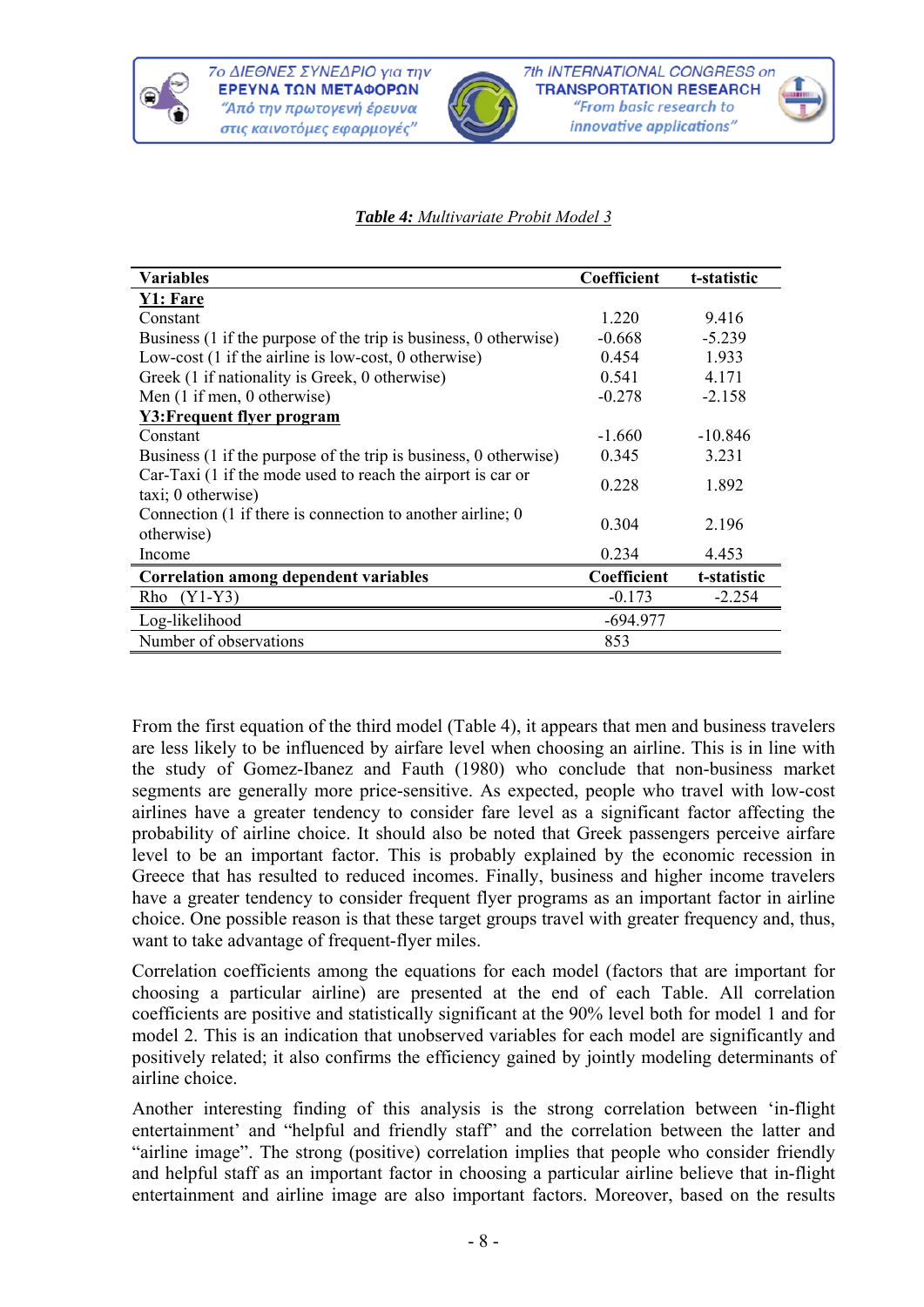





#### *Table 4: Multivariate Probit Model 3*

| Variables                                                                           | Coefficient | t-statistic |
|-------------------------------------------------------------------------------------|-------------|-------------|
| Y1: Fare                                                                            |             |             |
| Constant                                                                            | 1.220       | 9.416       |
| Business (1 if the purpose of the trip is business, 0 otherwise)                    | $-0.668$    | $-5.239$    |
| Low-cost (1 if the airline is low-cost, 0 otherwise)                                | 0.454       | 1.933       |
| Greek (1 if nationality is Greek, 0 otherwise)                                      | 0.541       | 4.171       |
| Men (1 if men, 0 otherwise)                                                         | $-0.278$    | $-2.158$    |
| Y3: Frequent flyer program                                                          |             |             |
| Constant                                                                            | $-1.660$    | $-10.846$   |
| Business (1 if the purpose of the trip is business, 0 otherwise)                    | 0.345       | 3.231       |
| Car-Taxi (1 if the mode used to reach the airport is car or<br>taxi; 0 otherwise)   | 0.228       | 1.892       |
| Connection $(1 \text{ if there is connection to another airline}; 0)$<br>otherwise) | 0.304       | 2.196       |
| Income                                                                              | 0.234       | 4.453       |
| <b>Correlation among dependent variables</b>                                        | Coefficient | t-statistic |
| $(Y1-Y3)$<br>Rho                                                                    | $-0.173$    | $-2.254$    |
| Log-likelihood                                                                      | $-694.977$  |             |
| Number of observations                                                              | 853         |             |

From the first equation of the third model (Table 4), it appears that men and business travelers are less likely to be influenced by airfare level when choosing an airline. This is in line with the study of Gomez-Ibanez and Fauth (1980) who conclude that non-business market segments are generally more price-sensitive. As expected, people who travel with low-cost airlines have a greater tendency to consider fare level as a significant factor affecting the probability of airline choice. It should also be noted that Greek passengers perceive airfare level to be an important factor. This is probably explained by the economic recession in Greece that has resulted to reduced incomes. Finally, business and higher income travelers have a greater tendency to consider frequent flyer programs as an important factor in airline choice. One possible reason is that these target groups travel with greater frequency and, thus, want to take advantage of frequent-flyer miles.

Correlation coefficients among the equations for each model (factors that are important for choosing a particular airline) are presented at the end of each Table. All correlation coefficients are positive and statistically significant at the 90% level both for model 1 and for model 2. This is an indication that unobserved variables for each model are significantly and positively related; it also confirms the efficiency gained by jointly modeling determinants of airline choice.

Another interesting finding of this analysis is the strong correlation between 'in-flight entertainment' and "helpful and friendly staff" and the correlation between the latter and "airline image". The strong (positive) correlation implies that people who consider friendly and helpful staff as an important factor in choosing a particular airline believe that in-flight entertainment and airline image are also important factors. Moreover, based on the results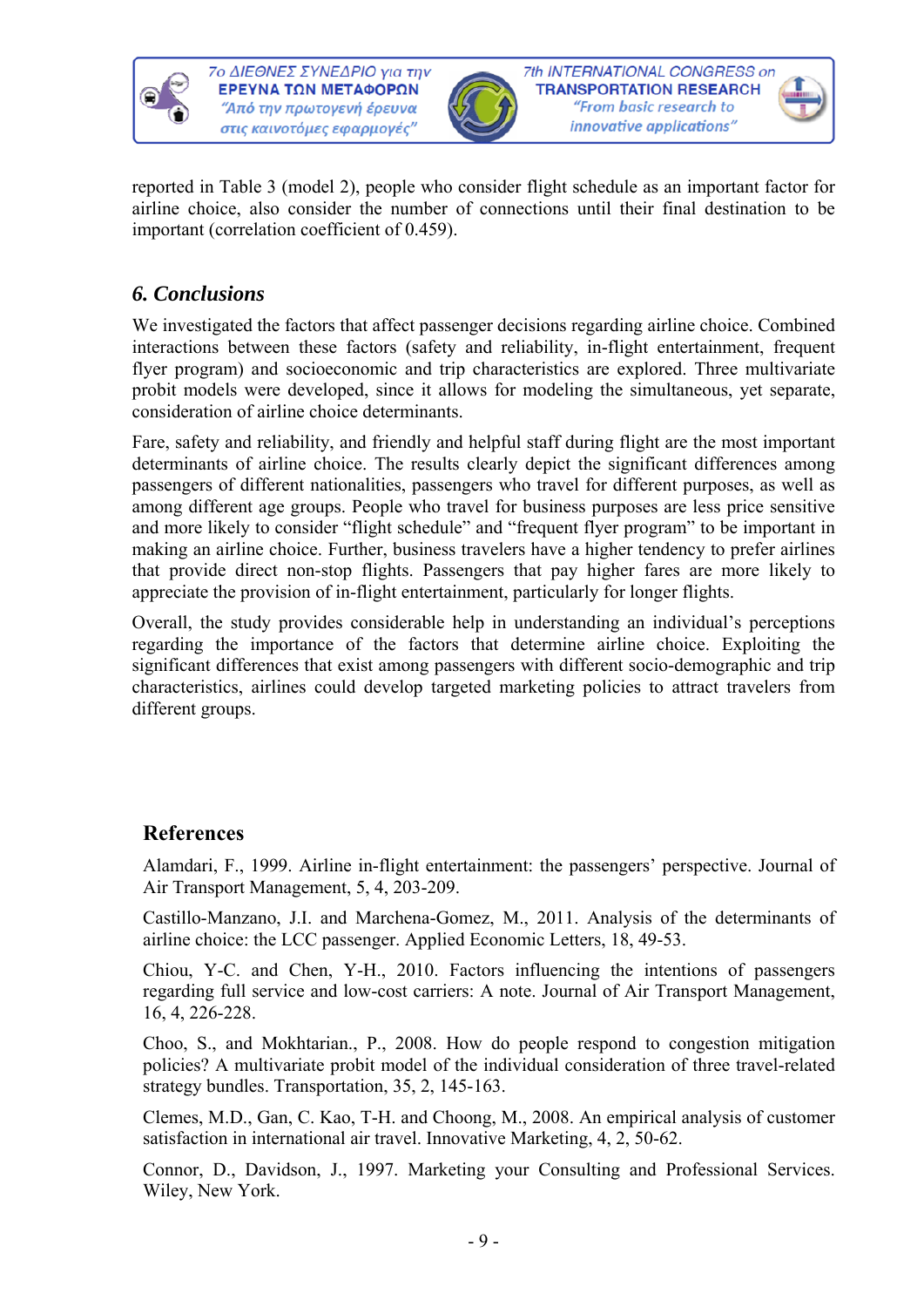



reported in Table 3 (model 2), people who consider flight schedule as an important factor for airline choice, also consider the number of connections until their final destination to be important (correlation coefficient of 0.459).

# *6. Conclusions*

We investigated the factors that affect passenger decisions regarding airline choice. Combined interactions between these factors (safety and reliability, in-flight entertainment, frequent flyer program) and socioeconomic and trip characteristics are explored. Three multivariate probit models were developed, since it allows for modeling the simultaneous, yet separate, consideration of airline choice determinants.

Fare, safety and reliability, and friendly and helpful staff during flight are the most important determinants of airline choice. The results clearly depict the significant differences among passengers of different nationalities, passengers who travel for different purposes, as well as among different age groups. People who travel for business purposes are less price sensitive and more likely to consider "flight schedule" and "frequent flyer program" to be important in making an airline choice. Further, business travelers have a higher tendency to prefer airlines that provide direct non-stop flights. Passengers that pay higher fares are more likely to appreciate the provision of in-flight entertainment, particularly for longer flights.

Overall, the study provides considerable help in understanding an individual's perceptions regarding the importance of the factors that determine airline choice. Exploiting the significant differences that exist among passengers with different socio-demographic and trip characteristics, airlines could develop targeted marketing policies to attract travelers from different groups.

# **References**

Alamdari, F., 1999. Airline in-flight entertainment: the passengers' perspective. Journal of Air Transport Management, 5, 4, 203-209.

Castillo-Manzano, J.I. and Marchena-Gomez, M., 2011. Analysis of the determinants of airline choice: the LCC passenger. Applied Economic Letters, 18, 49-53.

Chiou, Y-C. and Chen, Y-H., 2010. Factors influencing the intentions of passengers regarding full service and low-cost carriers: A note. Journal of Air Transport Management, 16, 4, 226-228.

Choo, S., and Mokhtarian., P., 2008. How do people respond to congestion mitigation policies? A multivariate probit model of the individual consideration of three travel-related strategy bundles. Transportation, 35, 2, 145-163.

Clemes, M.D., Gan, C. Kao, T-H. and Choong, M., 2008. An empirical analysis of customer satisfaction in international air travel. Innovative Marketing, 4, 2, 50-62.

Connor, D., Davidson, J., 1997. Marketing your Consulting and Professional Services. Wiley, New York.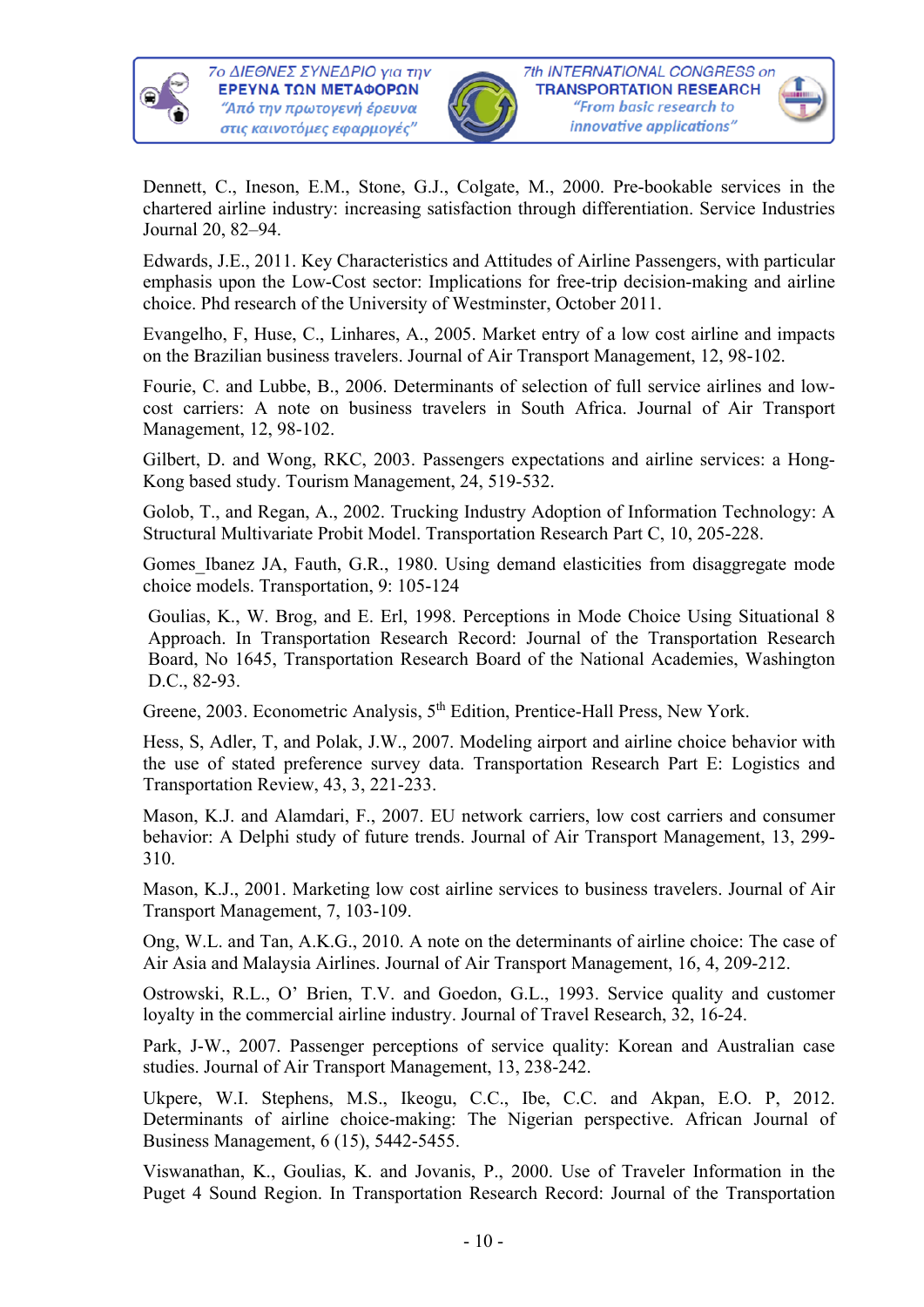

7ο ΔΙΕΘΝΕΣ ΣΥΝΕΔΡΙΟ για την ΕΡΕΥΝΑ ΤΩΝ ΜΕΤΑΦΟΡΩΝ "Από την πρωτογενή έρευνα στις καινοτόμες εφαρμογές"



Dennett, C., Ineson, E.M., Stone, G.J., Colgate, M., 2000. Pre-bookable services in the chartered airline industry: increasing satisfaction through differentiation. Service Industries Journal 20, 82–94.

Edwards, J.E., 2011. Key Characteristics and Attitudes of Airline Passengers, with particular emphasis upon the Low-Cost sector: Implications for free-trip decision-making and airline choice. Phd research of the University of Westminster, October 2011.

Evangelho, F, Huse, C., Linhares, A., 2005. Market entry of a low cost airline and impacts on the Brazilian business travelers. Journal of Air Transport Management, 12, 98-102.

Fourie, C. and Lubbe, B., 2006. Determinants of selection of full service airlines and lowcost carriers: A note on business travelers in South Africa. Journal of Air Transport Management, 12, 98-102.

Gilbert, D. and Wong, RKC, 2003. Passengers expectations and airline services: a Hong-Kong based study. Tourism Management, 24, 519-532.

Golob, T., and Regan, A., 2002. Trucking Industry Adoption of Information Technology: A Structural Multivariate Probit Model. Transportation Research Part C, 10, 205-228.

Gomes Ibanez JA, Fauth, G.R., 1980. Using demand elasticities from disaggregate mode choice models. Transportation, 9: 105-124

Goulias, K., W. Brog, and E. Erl, 1998. Perceptions in Mode Choice Using Situational 8 Approach. In Transportation Research Record: Journal of the Transportation Research Board, No 1645, Transportation Research Board of the National Academies, Washington D.C., 82-93.

Greene, 2003. Econometric Analysis, 5<sup>th</sup> Edition, Prentice-Hall Press, New York.

Hess, S, Adler, T, and Polak, J.W., 2007. Modeling airport and airline choice behavior with the use of stated preference survey data. Transportation Research Part E: Logistics and Transportation Review, 43, 3, 221-233.

Mason, K.J. and Alamdari, F., 2007. EU network carriers, low cost carriers and consumer behavior: A Delphi study of future trends. Journal of Air Transport Management, 13, 299- 310.

Mason, K.J., 2001. Marketing low cost airline services to business travelers. Journal of Air Transport Management, 7, 103-109.

Ong, W.L. and Tan, A.K.G., 2010. A note on the determinants of airline choice: Τhe case of Air Asia and Malaysia Airlines. Journal of Air Transport Management, 16, 4, 209-212.

Ostrowski, R.L., O' Brien, T.V. and Goedon, G.L., 1993. Service quality and customer loyalty in the commercial airline industry. Journal of Travel Research, 32, 16-24.

Park, J-W., 2007. Passenger perceptions of service quality: Korean and Australian case studies. Journal of Air Transport Management, 13, 238-242.

Ukpere, W.I. Stephens, M.S., Ikeogu, C.C., Ibe, C.C. and Akpan, E.O. P, 2012. Determinants of airline choice-making: The Nigerian perspective. African Journal of Business Management, 6 (15), 5442-5455.

Viswanathan, K., Goulias, K. and Jovanis, P., 2000. Use of Traveler Information in the Puget 4 Sound Region. In Transportation Research Record: Journal of the Transportation